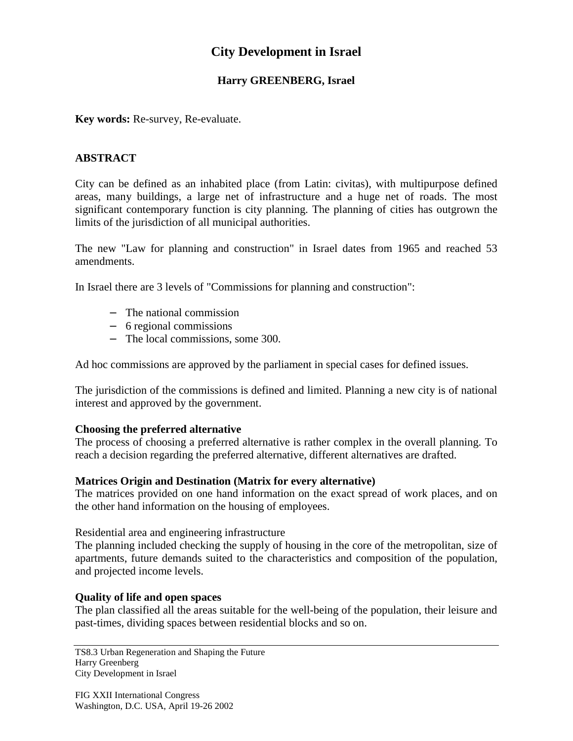# **City Development in Israel**

# **Harry GREENBERG, Israel**

**Key words:** Re-survey, Re-evaluate.

## **ABSTRACT**

City can be defined as an inhabited place (from Latin: civitas), with multipurpose defined areas, many buildings, a large net of infrastructure and a huge net of roads. The most significant contemporary function is city planning. The planning of cities has outgrown the limits of the jurisdiction of all municipal authorities.

The new "Law for planning and construction" in Israel dates from 1965 and reached 53 amendments.

In Israel there are 3 levels of "Commissions for planning and construction":

- − The national commission
- − 6 regional commissions
- − The local commissions, some 300.

Ad hoc commissions are approved by the parliament in special cases for defined issues.

The jurisdiction of the commissions is defined and limited. Planning a new city is of national interest and approved by the government.

#### **Choosing the preferred alternative**

The process of choosing a preferred alternative is rather complex in the overall planning. To reach a decision regarding the preferred alternative, different alternatives are drafted.

#### **Matrices Origin and Destination (Matrix for every alternative)**

The matrices provided on one hand information on the exact spread of work places, and on the other hand information on the housing of employees.

Residential area and engineering infrastructure

The planning included checking the supply of housing in the core of the metropolitan, size of apartments, future demands suited to the characteristics and composition of the population, and projected income levels.

#### **Quality of life and open spaces**

The plan classified all the areas suitable for the well-being of the population, their leisure and past-times, dividing spaces between residential blocks and so on.

TS8.3 Urban Regeneration and Shaping the Future Harry Greenberg City Development in Israel